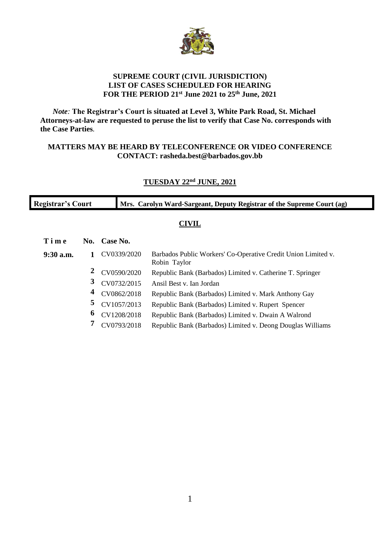

#### **SUPREME COURT (CIVIL JURISDICTION) LIST OF CASES SCHEDULED FOR HEARING FOR THE PERIOD 21st June 2021 to 25th June, 2021**

*Note:* **The Registrar's Court is situated at Level 3, White Park Road, St. Michael Attorneys-at-law are requested to peruse the list to verify that Case No. corresponds with the Case Parties***.*

#### **MATTERS MAY BE HEARD BY TELECONFERENCE OR VIDEO CONFERENCE CONTACT: rasheda.best@barbados.gov.bb**

### **TUESDAY 22nd JUNE, 2021**

| <b>Registrar's Court</b> |     |             | Mrs. Carolyn Ward-Sargeant, Deputy Registrar of the Supreme Court (ag)        |  |  |
|--------------------------|-----|-------------|-------------------------------------------------------------------------------|--|--|
| <b>CIVIL</b>             |     |             |                                                                               |  |  |
| Time                     | No. | Case No.    |                                                                               |  |  |
| $9:30$ a.m.              |     | CV0339/2020 | Barbados Public Workers' Co-Operative Credit Union Limited v.<br>Robin Taylor |  |  |
|                          |     | CV0590/2020 | Republic Bank (Barbados) Limited v. Catherine T. Springer                     |  |  |
|                          | 3   | CV0732/2015 | Ansil Best v. Ian Jordan                                                      |  |  |
|                          | 4   | CV0862/2018 | Republic Bank (Barbados) Limited v. Mark Anthony Gay                          |  |  |
|                          | 5   | CV1057/2013 | Republic Bank (Barbados) Limited v. Rupert Spencer                            |  |  |
|                          | 6   | CV1208/2018 | Republic Bank (Barbados) Limited v. Dwain A Walrond                           |  |  |
|                          |     | CV0793/2018 | Republic Bank (Barbados) Limited v. Deong Douglas Williams                    |  |  |